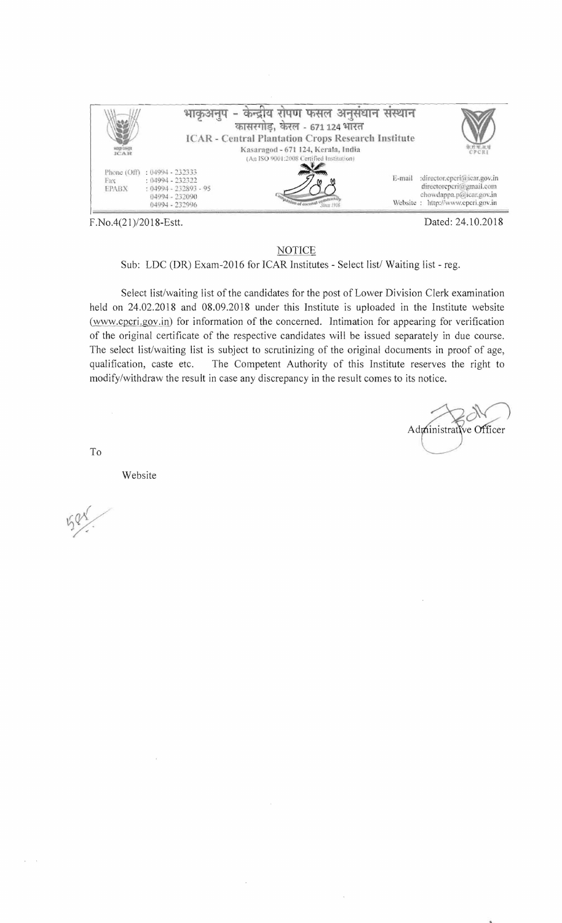

F.No.4(21)/2018-Estt.

Dated: 24.10.2018

## **NOTICE**

Sub: LDC (DR) Exam-2016 for ICAR Institutes - Select list/ Waiting list - reg.

Select list/waiting list of the candidates for the post of Lower Division Clerk examination held on 24.02.2018 and 08.09.2018 under this Institute is uploaded in the Institute website (www.cpcri.gov.in) for information of the concerned. Intimation for appearing for verification of the original certificate of the respective candidates will be issued separately in due course. The select list/waiting list is subject to scrutinizing of the original documents in proof of age, The Competent Authority of this Institute reserves the right to qualification, caste etc. modify/withdraw the result in case any discrepancy in the result comes to its notice.

Administrative Officer

To

Website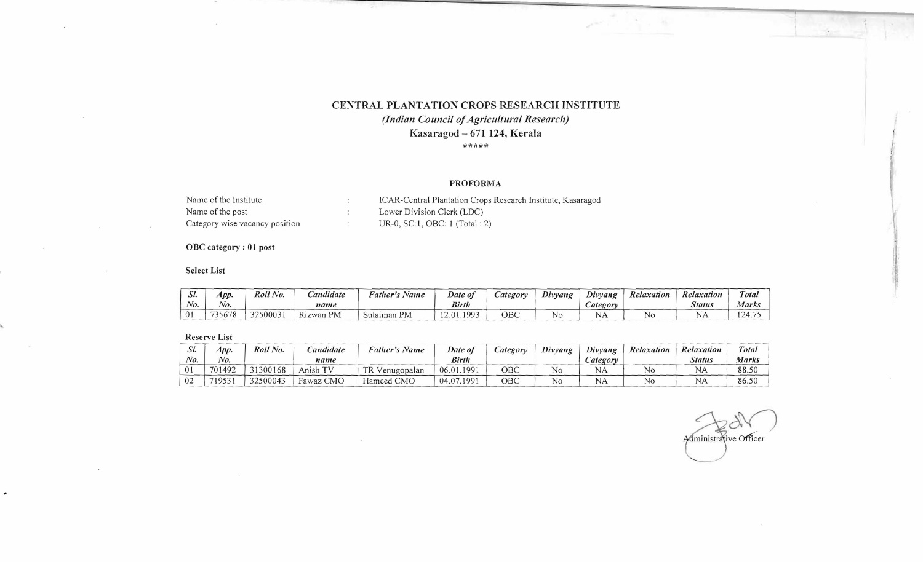# CENTRAL PLANTATION CROPS RESEARCH INSTITUTE *(Indian Council ofAgricultural Research)*

Kasaragod - 671 124, Kerala

\*\*\*\*\*

### PROFORMA

| Name of the Institute          | ICAR-Central Plantation Crops Research Institute, Kasaragod |
|--------------------------------|-------------------------------------------------------------|
| Name of the post               | Lower Division Clerk (LDC)                                  |
| Category wise vacancy position | $UR-0$ , SC:1, OBC: 1 (Total : 2)                           |

 $\sim$ 

## OBC category: 01 post

#### Select List

| SI.            | App.    | Roll No. | <b>Candidate</b> | $\cdots$<br>r<br>Name<br>ather's      | Date of       | ategory | Divyang   | $\sim$<br>Divyang     | Relaxation | Relaxation    | Total        |
|----------------|---------|----------|------------------|---------------------------------------|---------------|---------|-----------|-----------------------|------------|---------------|--------------|
| No.            | $N_{0}$ |          | name             |                                       | <b>Birth</b>  |         |           | $\mathcal{L}$ ategory |            | <b>Status</b> | Marks        |
| $\overline{0}$ | 735678  | 3250003  | Rizwan PM        | $\mathbf{P}\mathbf{M}$<br>$S$ ulaiman | 1003<br>12.01 | OBC     | <b>NC</b> | ◥▱                    | No         |               | 124.<br>$-1$ |

#### Reserve List

| $\Delta l$ | App.    | Roll No. | Candidate | <b>Father's Name</b> | Date of    | ategory | Divyang        | Divyang | Relaxation | Relaxation    | Total |
|------------|---------|----------|-----------|----------------------|------------|---------|----------------|---------|------------|---------------|-------|
| No.        | $N_{O}$ |          | name      |                      | Birth      |         |                | ategory |            | <b>Status</b> | Marks |
|            | 701492  | 31300168 | Anish TV  | TR<br>Venugopalan    | 06.01.199  | ОВС     | No             | NA      |            | NH            | 88.50 |
| 02         | 719531  | 32500043 | Fawaz CMO | Hameed CMO           | 04.07.1991 | OBC     | N <sub>0</sub> | NA      |            | NΑ            | 86.50 |

Administrative Officer

 $\mathcal{A}$